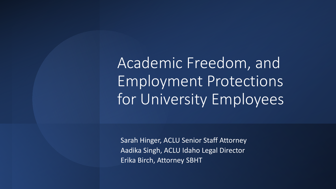Academic Freedom, and Employment Protections for University Employees

Sarah Hinger, ACLU Senior Staff Attorney Aadika Singh, ACLU Idaho Legal Director Erika Birch, Attorney SBHT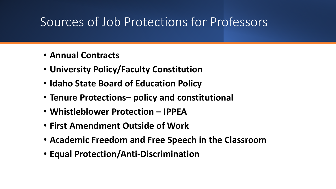## Sources of Job Protections for Professors

- **Annual Contracts**
- **University Policy/Faculty Constitution**
- **Idaho State Board of Education Policy**
- **Tenure Protections– policy and constitutional**
- **Whistleblower Protection – IPPEA**
- **First Amendment Outside of Work**
- **Academic Freedom and Free Speech in the Classroom**
- **Equal Protection/Anti-Discrimination**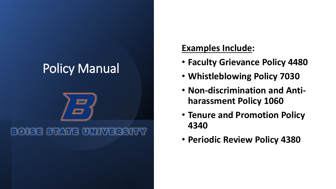## Policy Manual

#### **BOISE STATE UNIVERSITY**

#### **Examples Include:**

- **Faculty Grievance Policy 4480**
- **Whistleblowing Policy 7030**
- **Non-discrimination and Antiharassment Policy 1060**
- **Tenure and Promotion Policy 4340**
- **Periodic Review Policy 4380**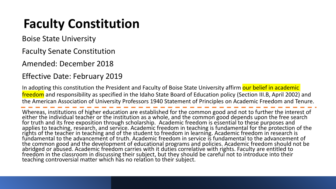## **Faculty Constitution**

Boise State University

Faculty Senate Constitution

Amended: December 2018

#### Effective Date: February 2019

In adopting this constitution the President and Faculty of Boise State University affirm our belief in academic freedom and responsibility as specified in the Idaho State Board of Education policy (Section III.B, April 2002) and the American Association of University Professors 1940 Statement of Principles on Academic Freedom and Tenure.

Whereas, institutions of higher education are established for the common good and not to further the interest of either the individual teacher or the institution as a whole, and the common good depends upon the free search for truth and its free exposition through scholarship. Academic freedom is essential to these purposes and applies to teaching, research, and service. Academic freedom in teaching is fundamental for the protection of the rights of the teacher in teaching and of the student to freedom in learning. Academic freedom in research is fundamental to the advancement of truth. Academic freedom in service is fundamental to the advancement of the common good and the development of educational programs and policies. Academic freedom should not be abridged or abused. Academic freedom carries with it duties correlative with rights. Faculty are entitled to freedom in the classroom in discussing their subject, but they should be careful not to introduce into their teaching controversial matter which has no relation to their subject.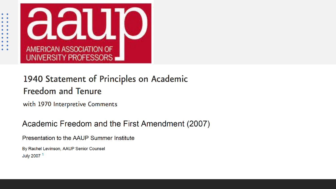

#### 1940 Statement of Principles on Academic **Freedom and Tenure**

with 1970 Interpretive Comments

#### Academic Freedom and the First Amendment (2007)

Presentation to the AAUP Summer Institute

By Rachel Levinson, AAUP Senior Counsel July 2007<sup>1</sup>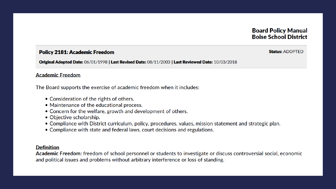#### **Board Policy Manual Boise School District**

#### **Policy 2181: Academic Freedom**

Original Adopted Date: 06/01/1998 | Last Revised Date: 08/11/2003 | Last Reviewed Date: 10/03/2018

#### **Academic Freedom**

The Board supports the exercise of academic freedom when it includes:

- Consideration of the rights of others.
- Maintenance of the educational process.
- Concern for the welfare, growth and development of others.
- Objective scholarship.
- Compliance with District curriculum, policy, procedures, values, mission statement and strategic plan.
- Compliance with state and federal laws, court decisions and regulations.

#### **Definition**

Academic Freedom: freedom of school personnel or students to investigate or discuss controversial social, economic and political issues and problems without arbitrary interference or loss of standing.

**Status: ADOPTED**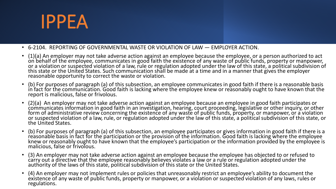# IPPEA

- 6-2104. REPORTING OF GOVERNMENTAL WASTE OR VIOLATION OF LAW EMPLOYER ACTION.
- (1)(a) An employer may not take adverse action against an employee because the employee, or a person authorized to act<br>on behalf of the employee, communicates in good faith the existence of any waste of public funds, pro or a violation or suspected violation of a law, rule or regulation adopted under the law of this state, a political subdivision of this state or the United States. Such communication shall be made at a time and in a manner that gives the employer reasonable opportunity to correct the waste or violation.
- (b) For purposes of paragraph (a) of this subsection, an employee communicates in good faith if there is a reasonable basis<br>in fact for the communication. Good faith is lacking where the employee knew or reasonably ought report is malicious, false or frivolous.
- (2)(a) An employer may not take adverse action against an employee because an employee in good faith participates or<br>communicates information in good faith in an investigation, hearing, court proceeding, legislative or o form of administrative review concerning the existence of any waste of public funds, property, or manpower, or a violation or suspected violation of a law, rule, or regulation adopted under the law of this state, a political subdivision of this state, or the United States.
- (b) For purposes of paragraph (a) of this subsection, an employee participates or gives information in good faith if there is a<br>reasonable basis in fact for the participation or the provision of the information. Good fai knew or reasonably ought to have known that the employee's participation or the information provided by the employee is malicious, false or frivolous.
- (3) An employer may not take adverse action against an employee because the employee has objected to or refused to<br>carry out a directive that the employee reasonably believes violates a law or a rule or regulation adopte authority of the laws of this state, political subdivision of this state or the United States.
- (4) An employer may not implement rules or policies that unreasonably restrict an employee's ability to document the<br>existence of any waste of public funds, property or manpower, or a violation or suspected violation of an regulations.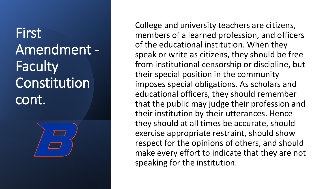## First Amendment - **Faculty** Constitution cont.



College and university teachers are citizens, members of a learned profession, and officers of the educational institution. When they speak or write as citizens, they should be free from institutional censorship or discipline, but their special position in the community imposes special obligations. As scholars and educational officers, they should remember that the public may judge their profession and their institution by their utterances. Hence they should at all times be accurate, should exercise appropriate restraint, should show respect for the opinions of others, and should make every effort to indicate that they are not speaking for the institution.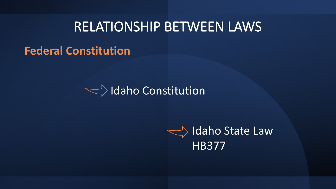## RELATIONSHIP BETWEEN LAWS

#### **Federal Constitution**



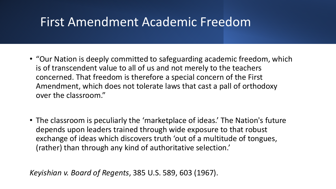### First Amendment Academic Freedom

- "Our Nation is deeply committed to safeguarding academic freedom, which is of transcendent value to all of us and not merely to the teachers concerned. That freedom is therefore a special concern of the First Amendment, which does not tolerate laws that cast a pall of orthodoxy over the classroom."
- The classroom is peculiarly the 'marketplace of ideas.' The Nation's future depends upon leaders trained through wide exposure to that robust exchange of ideas which discovers truth 'out of a multitude of tongues, (rather) than through any kind of authoritative selection.'

*Keyishian v. Board of Regents*, 385 U.S. 589, 603 (1967).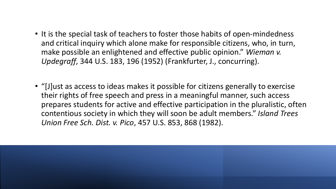- It is the special task of teachers to foster those habits of open-mindedness and critical inquiry which alone make for responsible citizens, who, in turn, make possible an enlightened and effective public opinion." *Wieman v. Updegraff*, 344 U.S. 183, 196 (1952) (Frankfurter, J., concurring).
- "[J]ust as access to ideas makes it possible for citizens generally to exercise their rights of free speech and press in a meaningful manner, such access prepares students for active and effective participation in the pluralistic, often contentious society in which they will soon be adult members." *Island Trees Union Free Sch. Dist. v. Pico*, 457 U.S. 853, 868 (1982).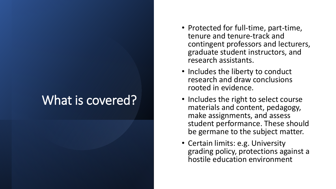### What is covered?

- Protected for full-time, part-time, tenure and tenure-track and contingent professors and lecturers, graduate student instructors, and research assistants.
- Includes the liberty to conduct research and draw conclusions rooted in evidence.
- Includes the right to select course materials and content, pedagogy, make assignments, and assess student performance. These should be germane to the subject matter.
- Certain limits: e.g. University grading policy, protections against a hostile education environment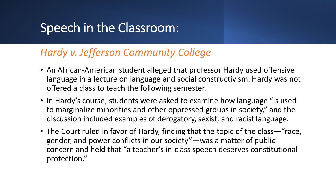### Speech in the Classroom:

#### *Hardy v. Jefferson Community College*

- An African-American student alleged that professor Hardy used offensive language in a lecture on language and social constructivism. Hardy was not offered a class to teach the following semester.
- In Hardy's course, students were asked to examine how language "is used to marginalize minorities and other oppressed groups in society," and the discussion included examples of derogatory, sexist, and racist language.
- The Court ruled in favor of Hardy, finding that the topic of the class—"race, gender, and power conflicts in our society"—was a matter of public concern and held that "a teacher's in-class speech deserves constitutional protection."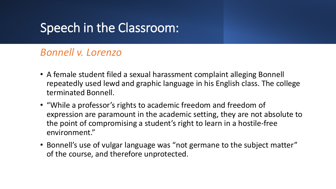### Speech in the Classroom:

#### *Bonnell v. Lorenzo*

- A female student filed a sexual harassment complaint alleging Bonnell repeatedly used lewd and graphic language in his English class. The college terminated Bonnell.
- "While a professor's rights to academic freedom and freedom of expression are paramount in the academic setting, they are not absolute to the point of compromising a student's right to learn in a hostile-free environment."
- Bonnell's use of vulgar language was "not germane to the subject matter" of the course, and therefore unprotected.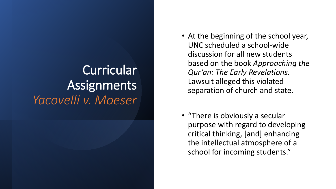## **Curricular** Assignments *Yacovelli v. Moeser*

- At the beginning of the school year, UNC scheduled a school-wide discussion for all new students based on the book *Approaching the Qur'an: The Early Revelations.*  Lawsuit alleged this violated separation of church and state.
- "There is obviously a secular purpose with regard to developing critical thinking, [and] enhancing the intellectual atmosphere of a school for incoming students."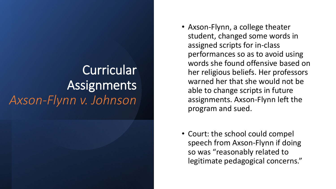## **Curricular** Assignments *Axson-Flynn v. Johnson*

- Axson-Flynn, a college theater student, changed some words in assigned scripts for in-class performances so as to avoid using words she found offensive based on her religious beliefs. Her professors warned her that she would not be able to change scripts in future assignments. Axson-Flynn left the program and sued.
- Court: the school could compel speech from Axson-Flynn if doing so was "reasonably related to legitimate pedagogical concerns."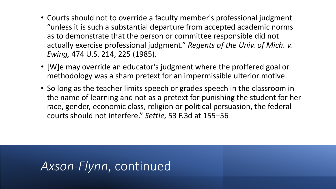- Courts should not to override a faculty member's professional judgment "unless it is such a substantial departure from accepted academic norms as to demonstrate that the person or committee responsible did not actually exercise professional judgment." *Regents of the Univ. of Mich. v. Ewing,* 474 U.S. 214, 225 (1985).
- [W]e may override an educator's judgment where the proffered goal or methodology was a sham pretext for an impermissible ulterior motive.
- So long as the teacher limits speech or grades speech in the classroom in the name of learning and not as a pretext for punishing the student for her race, gender, economic class, religion or political persuasion, the federal courts should not interfere." *Settle,* 53 F.3d at 155–56

### *Axson-Flynn*, continued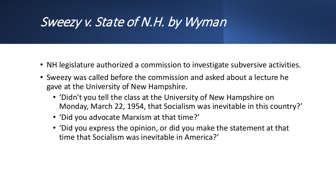### Sweezy v. State of N.H. by Wyman

- NH legislature authorized a commission to investigate subversive activities.
- Sweezy was called before the commission and asked about a lecture he gave at the University of New Hampshire.
	- 'Didn't you tell the class at the University of New Hampshire on Monday, March 22, 1954, that Socialism was inevitable in this country?'
	- 'Did you advocate Marxism at that time?'
	- 'Did you express the opinion, or did you make the statement at that time that Socialism was inevitable in America?'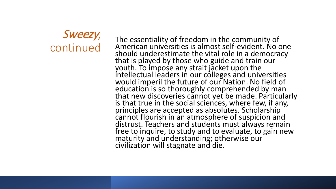Sweezy,<br>continued

CONTINUES The essentiality of freedom in the community of<br>CONTINUED American universities is almost self-evident. No c<br>Should underestimate the vital role in a democra American universities is almost self-evident. No one should underestimate the vital role in a democracy that is played by those who guide and train our youth. To impose any strait jacket upon the intellectual leaders in our colleges and universities would imperil the future of our Nation. No field of education is so thoroughly comprehended by man that new discoveries cannot yet be made. Particularly is that true in the social sciences, where few, if any, principles are accepted as absolutes. Scholarship cannot flourish in an atmosphere of suspicion and distrust. Teachers and students must always remain free to inquire, to study and to evaluate, to gain new maturity and understanding; otherwise our civilization will stagnate and die.